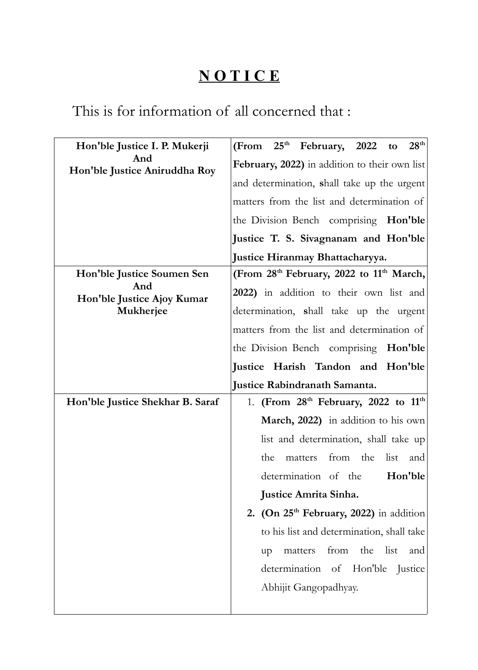## **N O T I C E**

## This is for information of all concerned that :

| Hon'ble Justice I. P. Mukerji<br>And<br>Hon'ble Justice Aniruddha Roy | 28 <sup>th</sup><br>(From 25 <sup>th</sup> February, 2022 to     |
|-----------------------------------------------------------------------|------------------------------------------------------------------|
|                                                                       | February, 2022) in addition to their own list                    |
|                                                                       | and determination, shall take up the urgent                      |
|                                                                       | matters from the list and determination of                       |
|                                                                       | the Division Bench comprising Hon'ble                            |
|                                                                       | Justice T. S. Sivagnanam and Hon'ble                             |
|                                                                       | Justice Hiranmay Bhattacharyya.                                  |
| Hon'ble Justice Soumen Sen                                            | (From 28 <sup>th</sup> February, 2022 to 11 <sup>th</sup> March, |
| And<br>Hon'ble Justice Ajoy Kumar                                     | 2022) in addition to their own list and                          |
| Mukherjee                                                             | determination, shall take up the urgent                          |
|                                                                       | matters from the list and determination of                       |
|                                                                       | the Division Bench comprising<br>Hon'ble                         |
|                                                                       | Justice Harish Tandon and Hon'ble                                |
|                                                                       |                                                                  |
|                                                                       | Justice Rabindranath Samanta.                                    |
| Hon'ble Justice Shekhar B. Saraf                                      | 1. (From 28 <sup>th</sup> February, 2022 to 11 <sup>th</sup>     |
|                                                                       | March, 2022) in addition to his own                              |
|                                                                       | list and determination, shall take up                            |
|                                                                       | from the<br>the<br>list<br>matters<br>and                        |
|                                                                       | determination of the<br>Hon'ble                                  |
|                                                                       | Justice Amrita Sinha.                                            |
|                                                                       | 2. (On 25 <sup>th</sup> February, 2022) in addition              |
|                                                                       | to his list and determination, shall take                        |
|                                                                       | from<br>the<br>list<br>matters<br>and<br>up                      |
|                                                                       | determination<br>Hon'ble<br>of<br>Justice                        |
|                                                                       | Abhijit Gangopadhyay.                                            |